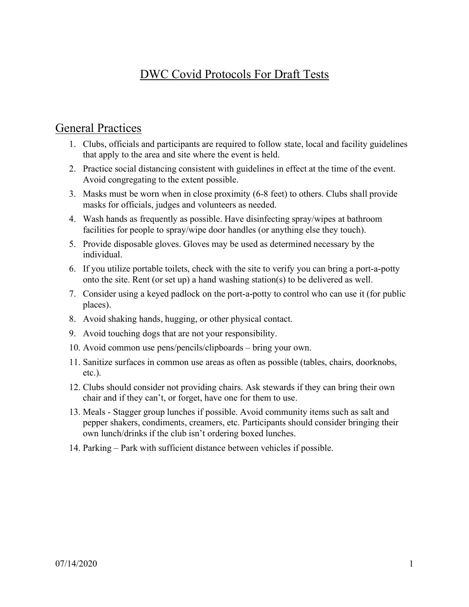## DWC Covid Protocols For Draft Tests

#### General Practices

- 1. Clubs, officials and participants are required to follow state, local and facility guidelines that apply to the area and site where the event is held.
- 2. Practice social distancing consistent with guidelines in effect at the time of the event. Avoid congregating to the extent possible.
- 3. Masks must be worn when in close proximity (6-8 feet) to others. Clubs shall provide masks for officials, judges and volunteers as needed.
- 4. Wash hands as frequently as possible. Have disinfecting spray/wipes at bathroom facilities for people to spray/wipe door handles (or anything else they touch).
- 5. Provide disposable gloves. Gloves may be used as determined necessary by the individual.
- 6. If you utilize portable toilets, check with the site to verify you can bring a port-a-potty onto the site. Rent (or set up) a hand washing station(s) to be delivered as well.
- 7. Consider using a keyed padlock on the port-a-potty to control who can use it (for public places).
- 8. Avoid shaking hands, hugging, or other physical contact.
- 9. Avoid touching dogs that are not your responsibility.
- 10. Avoid common use pens/pencils/clipboards bring your own.
- 11. Sanitize surfaces in common use areas as often as possible (tables, chairs, doorknobs, etc.).
- 12. Clubs should consider not providing chairs. Ask stewards if they can bring their own chair and if they can't, or forget, have one for them to use.
- 13. Meals Stagger group lunches if possible. Avoid community items such as salt and pepper shakers, condiments, creamers, etc. Participants should consider bringing their own lunch/drinks if the club isn't ordering boxed lunches.
- 14. Parking Park with sufficient distance between vehicles if possible.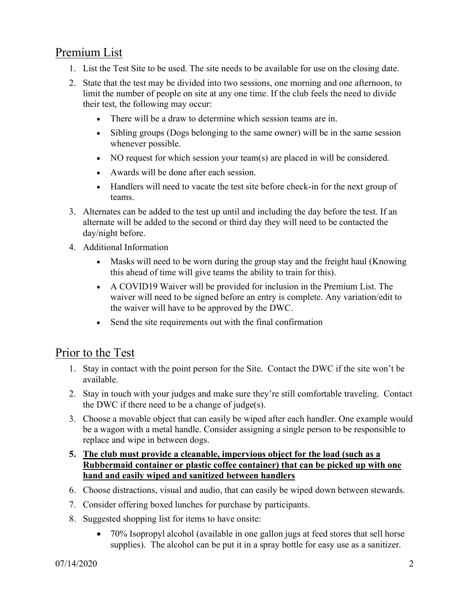## Premium List

- 1. List the Test Site to be used. The site needs to be available for use on the closing date.
- 2. State that the test may be divided into two sessions, one morning and one afternoon, to limit the number of people on site at any one time. If the club feels the need to divide their test, the following may occur:
	- There will be a draw to determine which session teams are in.
	- Sibling groups (Dogs belonging to the same owner) will be in the same session whenever possible.
	- NO request for which session your team(s) are placed in will be considered.
	- Awards will be done after each session.
	- Handlers will need to vacate the test site before check-in for the next group of teams.
- 3. Alternates can be added to the test up until and including the day before the test. If an alternate will be added to the second or third day they will need to be contacted the day/night before.
- 4. Additional Information
	- Masks will need to be worn during the group stay and the freight haul (Knowing this ahead of time will give teams the ability to train for this).
	- A COVID19 Waiver will be provided for inclusion in the Premium List. The waiver will need to be signed before an entry is complete. Any variation/edit to the waiver will have to be approved by the DWC.
	- Send the site requirements out with the final confirmation

#### Prior to the Test

- 1. Stay in contact with the point person for the Site. Contact the DWC if the site won't be available.
- 2. Stay in touch with your judges and make sure they're still comfortable traveling. Contact the DWC if there need to be a change of judge(s).
- 3. Choose a movable object that can easily be wiped after each handler. One example would be a wagon with a metal handle. Consider assigning a single person to be responsible to replace and wipe in between dogs.

#### **5. The club must provide a cleanable, impervious object for the load (such as a Rubbermaid container or plastic coffee container) that can be picked up with one hand and easily wiped and sanitized between handlers**

- 6. Choose distractions, visual and audio, that can easily be wiped down between stewards.
- 7. Consider offering boxed lunches for purchase by participants.
- 8. Suggested shopping list for items to have onsite:
	- 70% Isopropyl alcohol (available in one gallon jugs at feed stores that sell horse supplies). The alcohol can be put it in a spray bottle for easy use as a sanitizer.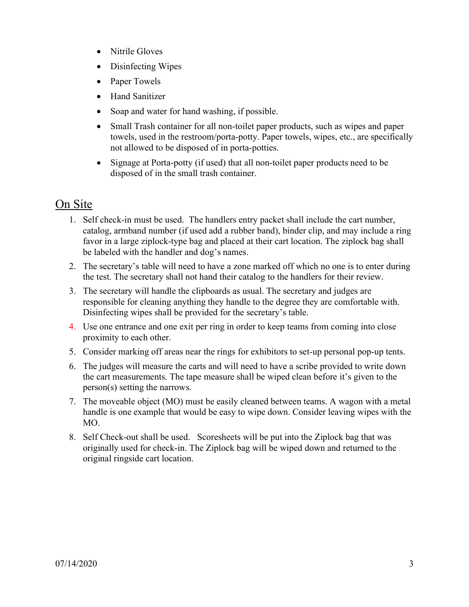- Nitrile Gloves
- Disinfecting Wipes
- Paper Towels
- Hand Sanitizer
- Soap and water for hand washing, if possible.
- Small Trash container for all non-toilet paper products, such as wipes and paper towels, used in the restroom/porta-potty. Paper towels, wipes, etc., are specifically not allowed to be disposed of in porta-potties.
- Signage at Porta-potty (if used) that all non-toilet paper products need to be disposed of in the small trash container.

## On Site

- 1. Self check-in must be used. The handlers entry packet shall include the cart number, catalog, armband number (if used add a rubber band), binder clip, and may include a ring favor in a large ziplock-type bag and placed at their cart location. The ziplock bag shall be labeled with the handler and dog's names.
- 2. The secretary's table will need to have a zone marked off which no one is to enter during the test. The secretary shall not hand their catalog to the handlers for their review.
- 3. The secretary will handle the clipboards as usual. The secretary and judges are responsible for cleaning anything they handle to the degree they are comfortable with. Disinfecting wipes shall be provided for the secretary's table.
- 4. Use one entrance and one exit per ring in order to keep teams from coming into close proximity to each other.
- 5. Consider marking off areas near the rings for exhibitors to set-up personal pop-up tents.
- 6. The judges will measure the carts and will need to have a scribe provided to write down the cart measurements. The tape measure shall be wiped clean before it's given to the person(s) setting the narrows.
- 7. The moveable object (MO) must be easily cleaned between teams. A wagon with a metal handle is one example that would be easy to wipe down. Consider leaving wipes with the MO.
- 8. Self Check-out shall be used. Scoresheets will be put into the Ziplock bag that was originally used for check-in. The Ziplock bag will be wiped down and returned to the original ringside cart location.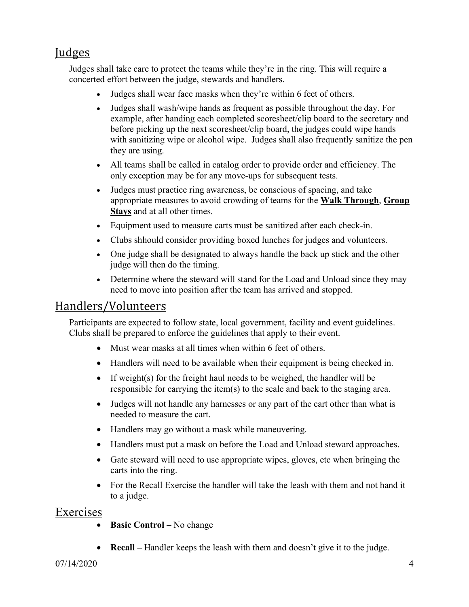## **Judges**

Judges shall take care to protect the teams while they're in the ring. This will require a concerted effort between the judge, stewards and handlers.

- Judges shall wear face masks when they're within 6 feet of others.
- Judges shall wash/wipe hands as frequent as possible throughout the day. For example, after handing each completed scoresheet/clip board to the secretary and before picking up the next scoresheet/clip board, the judges could wipe hands with sanitizing wipe or alcohol wipe. Judges shall also frequently sanitize the pen they are using.
- All teams shall be called in catalog order to provide order and efficiency. The only exception may be for any move-ups for subsequent tests.
- Judges must practice ring awareness, be conscious of spacing, and take appropriate measures to avoid crowding of teams for the **Walk Through**, **Group Stays** and at all other times.
- Equipment used to measure carts must be sanitized after each check-in.
- Clubs shhould consider providing boxed lunches for judges and volunteers.
- One judge shall be designated to always handle the back up stick and the other judge will then do the timing.
- Determine where the steward will stand for the Load and Unload since they may need to move into position after the team has arrived and stopped.

## Handlers/Volunteers

Participants are expected to follow state, local government, facility and event guidelines. Clubs shall be prepared to enforce the guidelines that apply to their event.

- Must wear masks at all times when within 6 feet of others.
- Handlers will need to be available when their equipment is being checked in.
- If weight(s) for the freight haul needs to be weighed, the handler will be responsible for carrying the item(s) to the scale and back to the staging area.
- Judges will not handle any harnesses or any part of the cart other than what is needed to measure the cart.
- Handlers may go without a mask while maneuvering.
- Handlers must put a mask on before the Load and Unload steward approaches.
- Gate steward will need to use appropriate wipes, gloves, etc when bringing the carts into the ring.
- For the Recall Exercise the handler will take the leash with them and not hand it to a judge.

## Exercises

- **Basic Control –** No change
- **Recall –** Handler keeps the leash with them and doesn't give it to the judge.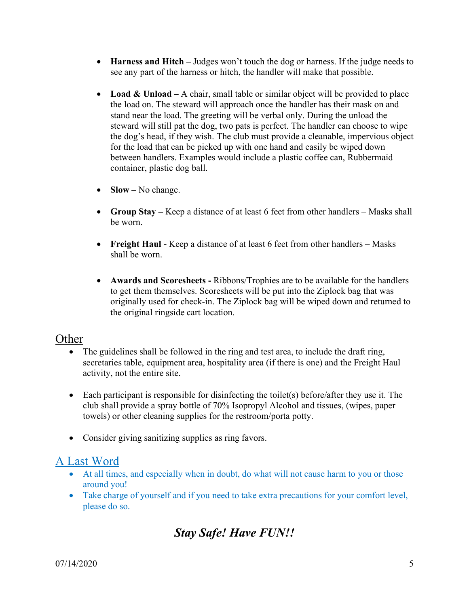- **Harness and Hitch –** Judges won't touch the dog or harness. If the judge needs to see any part of the harness or hitch, the handler will make that possible.
- **Load & Unload –** A chair, small table or similar object will be provided to place the load on. The steward will approach once the handler has their mask on and stand near the load. The greeting will be verbal only. During the unload the steward will still pat the dog, two pats is perfect. The handler can choose to wipe the dog's head, if they wish. The club must provide a cleanable, impervious object for the load that can be picked up with one hand and easily be wiped down between handlers. Examples would include a plastic coffee can, Rubbermaid container, plastic dog ball.
- **Slow** No change.
- **Group Stay –** Keep a distance of at least 6 feet from other handlers Masks shall be worn.
- **Freight Haul -** Keep a distance of at least 6 feet from other handlers Masks shall be worn.
- **Awards and Scoresheets -** Ribbons/Trophies are to be available for the handlers to get them themselves. Scoresheets will be put into the Ziplock bag that was originally used for check-in. The Ziplock bag will be wiped down and returned to the original ringside cart location.

#### Other

- The guidelines shall be followed in the ring and test area, to include the draft ring, secretaries table, equipment area, hospitality area (if there is one) and the Freight Haul activity, not the entire site.
- Each participant is responsible for disinfecting the toilet(s) before/after they use it. The club shall provide a spray bottle of 70% Isopropyl Alcohol and tissues, (wipes, paper towels) or other cleaning supplies for the restroom/porta potty.
- Consider giving sanitizing supplies as ring favors.

## A Last Word

- At all times, and especially when in doubt, do what will not cause harm to you or those around you!
- Take charge of yourself and if you need to take extra precautions for your comfort level, please do so.

# *Stay Safe! Have FUN!!*